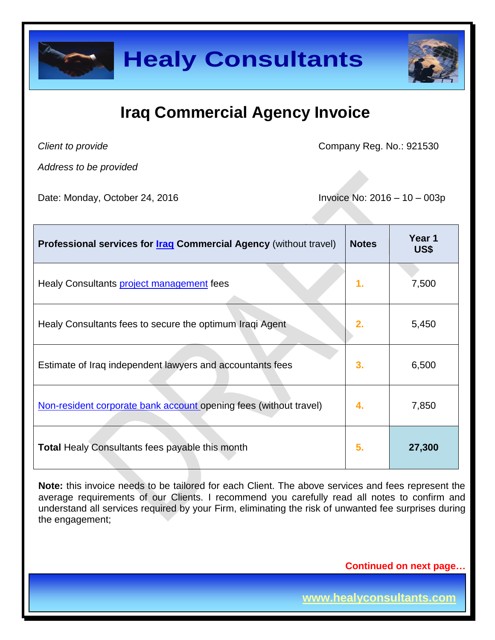

## **Iraq Commercial Agency Invoice**

*Client to provide*

Company Reg. No.: 921530

*Address to be provided*

Date: Monday, October 24, 2016 **Invoice No: 2016** - 10 – 003p

| Professional services for <b>Iraq Commercial Agency</b> (without travel) | <b>Notes</b> | Year 1<br>US\$ |
|--------------------------------------------------------------------------|--------------|----------------|
| Healy Consultants <b>project management</b> fees                         | 1.           | 7,500          |
| Healy Consultants fees to secure the optimum Iragi Agent                 | 2.           | 5,450          |
| Estimate of Iraq independent lawyers and accountants fees                | 3.           | 6,500          |
| Non-resident corporate bank account opening fees (without travel)        | 4.           | 7,850          |
| <b>Total Healy Consultants fees payable this month</b>                   | 5.           | 27,300         |

**Note:** this invoice needs to be tailored for each Client. The above services and fees represent the average requirements of our Clients. I recommend you carefully read all notes to confirm and understand all services required by your Firm, eliminating the risk of unwanted fee surprises during the engagement;

**Continued on next page…**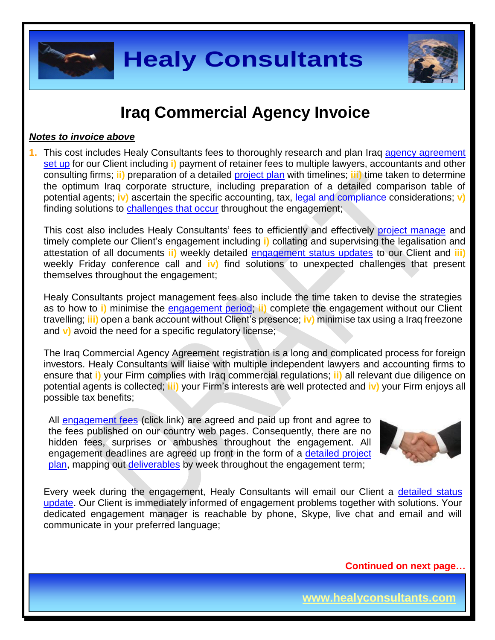



### **Iraq Commercial Agency Invoice**

#### *Notes to invoice above*

**1.** This cost includes Healy Consultants fees to thoroughly research and plan Iraq [agency agreement](http://www.healyconsultants.com/iraq-company-registration/setup-llc/) [set](http://www.healyconsultants.com/iraq-company-registration/setup-llc/) up for our Client including **i)** payment of retainer fees to multiple lawyers, accountants and other consulting firms; **ii)** preparation of a detailed [project plan](http://www.healyconsultants.com/index-important-links/example-project-plan/) with timelines; **iii)** time taken to determine the optimum Iraq corporate structure, including preparation of a detailed comparison table of potential agents; **iv)** ascertain the specific accounting, tax, [legal and compliance](http://www.healyconsultants.com/about-us/key-personnel/cai-xin-profile/) considerations; **v)** finding solutions to [challenges that occur](http://www.healyconsultants.com/engagement-project-management/) throughout the engagement;

This cost also includes Healy Consultants' fees to efficiently and effectively [project manage](http://www.healyconsultants.com/project-manage-engagements/) and timely complete our Client's engagement including **i)** collating and supervising the legalisation and attestation of all documents **ii)** weekly detailed [engagement status updates](http://www.healyconsultants.com/index-important-links/weekly-engagement-status-email/) to our Client and **iii)** weekly Friday conference call and **iv)** find solutions to unexpected challenges that present themselves throughout the engagement;

Healy Consultants project management fees also include the time taken to devise the strategies as to how to **i)** minimise the [engagement period;](http://www.healyconsultants.com/kuwait-company-registration/fees-timelines/#timelines) **ii)** complete the engagement without our Client travelling; **iii)** open a bank account without Client's presence; **iv)** minimise tax using a Iraq freezone and **v)** avoid the need for a specific regulatory license;

The Iraq Commercial Agency Agreement registration is a long and complicated process for foreign investors. Healy Consultants will liaise with multiple independent lawyers and accounting firms to ensure that **i)** your Firm complies with Iraq commercial regulations; **ii)** all relevant due diligence on potential agents is collected; **iii)** your Firm's interests are well protected and **iv)** your Firm enjoys all possible tax benefits;

All [engagement fees](http://www.healyconsultants.com/company-registration-fees/) (click link) are agreed and paid up front and agree to the fees published on our country web pages. Consequently, there are no hidden fees, surprises or ambushes throughout the engagement. All engagement deadlines are agreed up front in the form of a [detailed project](http://www.healyconsultants.com/index-important-links/example-project-plan/)  [plan,](http://www.healyconsultants.com/index-important-links/example-project-plan/) mapping out [deliverables](http://www.healyconsultants.com/deliverables-to-our-clients/) by week throughout the engagement term;



Every week during the engagement, Healy Consultants will email our Client a [detailed status](http://www.healyconsultants.com/index-important-links/weekly-engagement-status-email/)  [update.](http://www.healyconsultants.com/index-important-links/weekly-engagement-status-email/) Our Client is immediately informed of engagement problems together with solutions. Your dedicated engagement manager is reachable by phone, Skype, live chat and email and will communicate in your preferred language;

**Continued on next page…**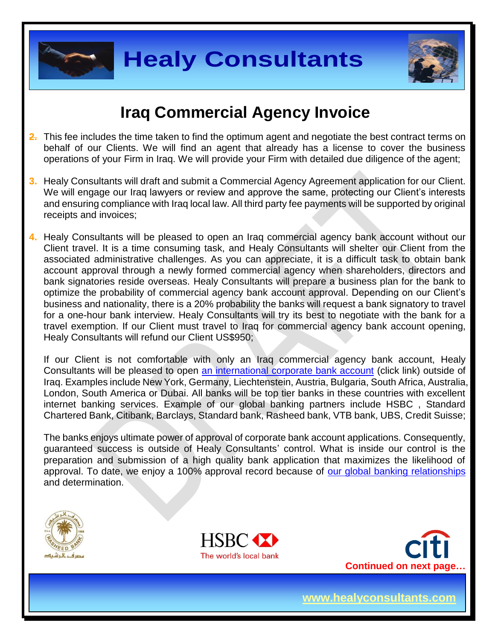



### **Iraq Commercial Agency Invoice**

- **2.** This fee includes the time taken to find the optimum agent and negotiate the best contract terms on behalf of our Clients. We will find an agent that already has a license to cover the business operations of your Firm in Iraq. We will provide your Firm with detailed due diligence of the agent;
- **3.** Healy Consultants will draft and submit a Commercial Agency Agreement application for our Client. We will engage our Iraq lawyers or review and approve the same, protecting our Client's interests and ensuring compliance with Iraq local law. All third party fee payments will be supported by original receipts and invoices;
- **4.** Healy Consultants will be pleased to open an Iraq commercial agency bank account without our Client travel. It is a time consuming task, and Healy Consultants will shelter our Client from the associated administrative challenges. As you can appreciate, it is a difficult task to obtain bank account approval through a newly formed commercial agency when shareholders, directors and bank signatories reside overseas. Healy Consultants will prepare a business plan for the bank to optimize the probability of commercial agency bank account approval. Depending on our Client's business and nationality, there is a 20% probability the banks will request a bank signatory to travel for a one-hour bank interview. Healy Consultants will try its best to negotiate with the bank for a travel exemption. If our Client must travel to Iraq for commercial agency bank account opening, Healy Consultants will refund our Client US\$950;

If our Client is not comfortable with only an Iraq commercial agency bank account, Healy Consultants will be pleased to open [an international corporate bank account](http://www.healyconsultants.com/international-banking/) (click link) outside of Iraq. Examples include New York, Germany, Liechtenstein, Austria, Bulgaria, South Africa, Australia, London, South America or Dubai. All banks will be top tier banks in these countries with excellent internet banking services. Example of our global banking partners include HSBC , Standard Chartered Bank, Citibank, Barclays, Standard bank, Rasheed bank, VTB bank, UBS, Credit Suisse;

The banks enjoys ultimate power of approval of corporate bank account applications. Consequently, guaranteed success is outside of Healy Consultants' control. What is inside our control is the preparation and submission of a high quality bank application that maximizes the likelihood of approval. To date, we enjoy a 100% approval record because of [our global banking relationships](http://www.healyconsultants.com/international-banking/corporate-accounts/) and determination.





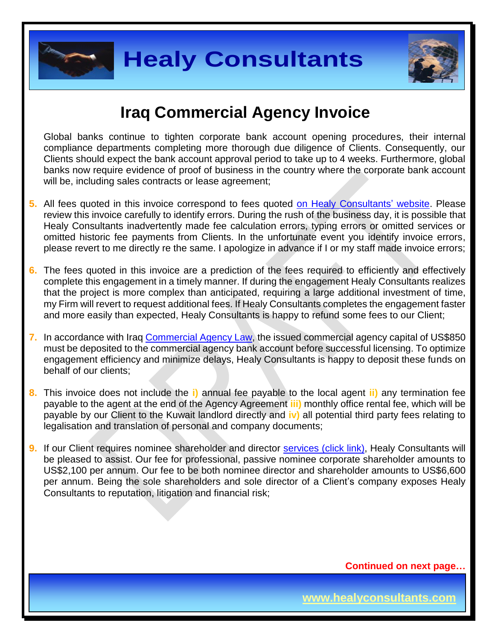



### **Iraq Commercial Agency Invoice**

Global banks continue to tighten corporate bank account opening procedures, their internal compliance departments completing more thorough due diligence of Clients. Consequently, our Clients should expect the bank account approval period to take up to 4 weeks. Furthermore, global banks now require evidence of proof of business in the country where the corporate bank account will be, including sales contracts or lease agreement;

- **5.** All fees quoted in this invoice correspond to fees quoted [on Healy Consultants' website.](http://www.healyconsultants.com/company-registration-fees/) Please review this invoice carefully to identify errors. During the rush of the business day, it is possible that Healy Consultants inadvertently made fee calculation errors, typing errors or omitted services or omitted historic fee payments from Clients. In the unfortunate event you identify invoice errors, please revert to me directly re the same. I apologize in advance if I or my staff made invoice errors;
- **6.** The fees quoted in this invoice are a prediction of the fees required to efficiently and effectively complete this engagement in a timely manner. If during the engagement Healy Consultants realizes that the project is more complex than anticipated, requiring a large additional investment of time, my Firm will revert to request additional fees. If Healy Consultants completes the engagement faster and more easily than expected, Healy Consultants is happy to refund some fees to our Client;
- **7.** In accordance with Iraq [Commercial Agency Law,](http://www.iraq-jccme.jp/pdf/090805_Instructions.pdf) the issued commercial agency capital of US\$850 must be deposited to the commercial agency bank account before successful licensing. To optimize engagement efficiency and minimize delays, Healy Consultants is happy to deposit these funds on behalf of our clients;
- **8.** This invoice does not include the **i)** annual fee payable to the local agent **ii)** any termination fee payable to the agent at the end of the Agency Agreement **iii)** monthly office rental fee, which will be payable by our Client to the Kuwait landlord directly and **iv)** all potential third party fees relating to legalisation and translation of personal and company documents;
- **9.** If our Client requires nominee shareholder and director services [\(click link\),](http://www.healyconsultants.com/corporate-outsourcing-services/nominee-shareholders-directors/) Healy Consultants will be pleased to assist. Our fee for professional, passive nominee corporate shareholder amounts to US\$2,100 per annum. Our fee to be both nominee director and shareholder amounts to US\$6,600 per annum. Being the sole shareholders and sole director of a Client's company exposes Healy Consultants to reputation, litigation and financial risk;

**Continued on next page…**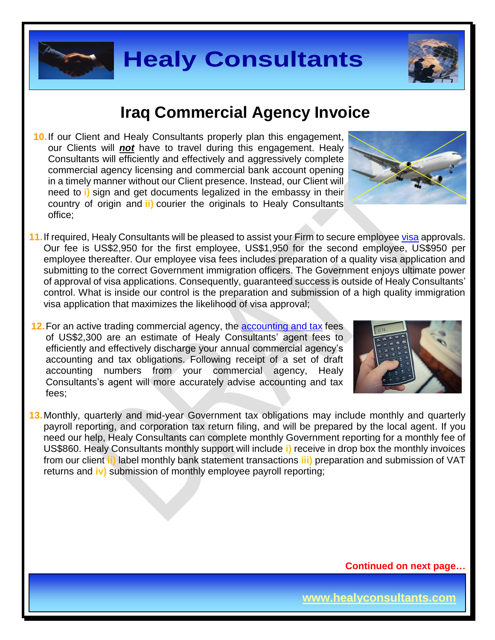

### **Iraq Commercial Agency Invoice**

- **10.**If our Client and Healy Consultants properly plan this engagement, our Clients will *not* have to travel during this engagement. Healy Consultants will efficiently and effectively and aggressively complete commercial agency licensing and commercial bank account opening in a timely manner without our Client presence. Instead, our Client will need to **i)** sign and get documents legalized in the embassy in their country of origin and **ii)** courier the originals to Healy Consultants office;
- **11.**If required, Healy Consultants will be pleased to assist your Firm to secure employe[e visa](http://www.healyconsultants.com/iraq-company-registration/formation-support-services/) approvals. Our fee is US\$2,950 for the first employee, US\$1,950 for the second employee, US\$950 per employee thereafter. Our employee visa fees includes preparation of a quality visa application and submitting to the correct Government immigration officers. The Government enjoys ultimate power of approval of visa applications. Consequently, guaranteed success is outside of Healy Consultants' control. What is inside our control is the preparation and submission of a high quality immigration visa application that maximizes the likelihood of visa approval;
- **12.**For an active trading commercial agency, the [accounting and tax](http://www.healyconsultants.com/iraq-company-registration/accounting-legal/) fees of US\$2,300 are an estimate of Healy Consultants' agent fees to efficiently and effectively discharge your annual commercial agency's accounting and tax obligations. Following receipt of a set of draft accounting numbers from your commercial agency, Healy Consultants's agent will more accurately advise accounting and tax fees;
- **13.**Monthly, quarterly and mid-year Government tax obligations may include monthly and quarterly payroll reporting, and corporation tax return filing, and will be prepared by the local agent. If you need our help, Healy Consultants can complete monthly Government reporting for a monthly fee of US\$860. Healy Consultants monthly support will include **i)** receive in drop box the monthly invoices from our client **ii)** label monthly bank statement transactions **iii)** preparation and submission of VAT returns and **iv)** submission of monthly employee payroll reporting;





**Continued on next page…**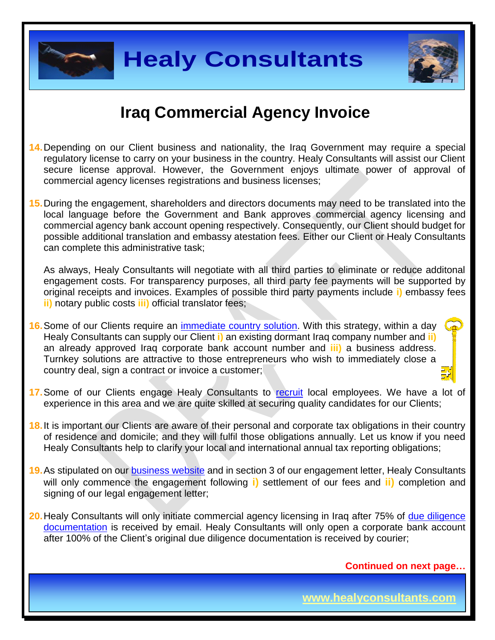



#### **Iraq Commercial Agency Invoice**

- **14.**Depending on our Client business and nationality, the Iraq Government may require a special regulatory license to carry on your business in the country. Healy Consultants will assist our Client secure license approval. However, the Government enjoys ultimate power of approval of commercial agency licenses registrations and business licenses;
- **15.**During the engagement, shareholders and directors documents may need to be translated into the local language before the Government and Bank approves commercial agency licensing and commercial agency bank account opening respectively. Consequently, our Client should budget for possible additional translation and embassy atestation fees. Either our Client or Healy Consultants can complete this administrative task;

As always, Healy Consultants will negotiate with all third parties to eliminate or reduce additonal engagement costs. For transparency purposes, all third party fee payments will be supported by original receipts and invoices. Examples of possible third party payments include **i)** embassy fees **ii)** notary public costs **iii)** official translator fees;

- **16.**Some of our Clients require an [immediate country](http://www.healyconsultants.com/turnkey-solutions/) solution. With this strategy, within a day Healy Consultants can supply our Client **i)** an existing dormant Iraq company number and **ii)** an already approved Iraq corporate bank account number and **iii)** a business address. Turnkey solutions are attractive to those entrepreneurs who wish to immediately close a country deal, sign a contract or invoice a customer;
- 17. Some of our Clients engage Healy Consultants to [recruit](http://www.healyconsultants.com/corporate-outsourcing-services/how-we-help-our-clients-recruit-quality-employees/) local employees. We have a lot of experience in this area and we are quite skilled at securing quality candidates for our Clients;
- **18.**It is important our Clients are aware of their personal and corporate tax obligations in their country of residence and domicile; and they will fulfil those obligations annually. Let us know if you need Healy Consultants help to clarify your local and international annual tax reporting obligations;
- **19.** As stipulated on our **business website** and in section 3 of our engagement letter, Healy Consultants will only commence the engagement following **i)** settlement of our fees and **ii)** completion and signing of our legal engagement letter;
- **20.** Healy Consultants will only initiate commercial agency licensing in Iraq after 75% of due diligence [documentation](http://www.healyconsultants.com/due-diligence/) is received by email. Healy Consultants will only open a corporate bank account after 100% of the Client's original due diligence documentation is received by courier;

**Continued on next page…**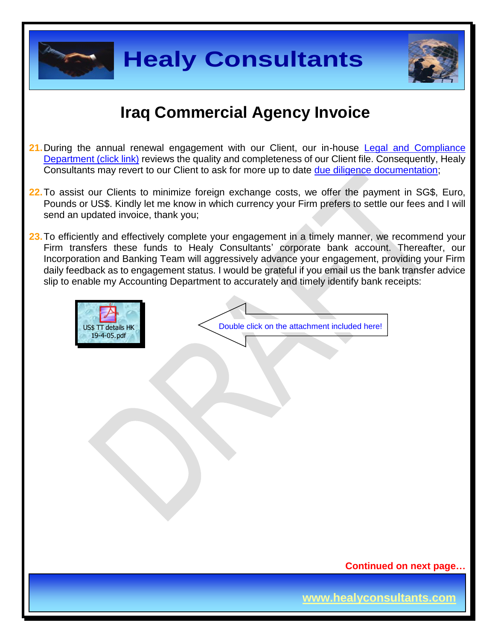



### **Iraq Commercial Agency Invoice**

- **21.**During the annual renewal engagement with our Client, our in-house [Legal and Compliance](http://www.healyconsultants.com/about-us/key-personnel/cai-xin-profile/)  [Department \(click link\)](http://www.healyconsultants.com/about-us/key-personnel/cai-xin-profile/) reviews the quality and completeness of our Client file. Consequently, Healy Consultants may revert to our Client to ask for more up to date [due diligence documentation;](http://www.healyconsultants.com/due-diligence/)
- **22.**To assist our Clients to minimize foreign exchange costs, we offer the payment in SG\$, Euro, Pounds or US\$. Kindly let me know in which currency your Firm prefers to settle our fees and I will send an updated invoice, thank you;
- 23. To efficiently and effectively complete your engagement in a timely manner, we recommend your Firm transfers these funds to Healy Consultants' corporate bank account. Thereafter, our Incorporation and Banking Team will aggressively advance your engagement, providing your Firm daily feedback as to engagement status. I would be grateful if you email us the bank transfer advice slip to enable my Accounting Department to accurately and timely identify bank receipts: